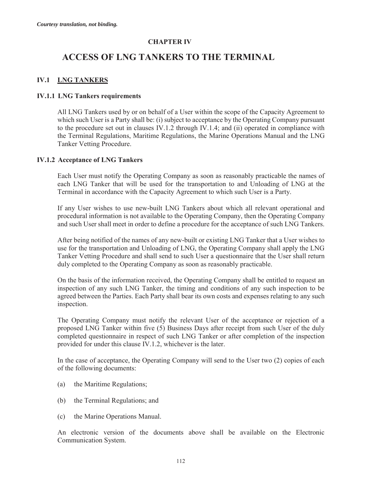# **CHAPTER IV**

# **ACCESS OF LNG TANKERS TO THE TERMINAL**

### **IV.1 LNG TANKERS**

### **IV.1.1 LNG Tankers requirements**

All LNG Tankers used by or on behalf of a User within the scope of the Capacity Agreement to which such User is a Party shall be: (i) subject to acceptance by the Operating Company pursuant to the procedure set out in clauses IV.1.2 through IV.1.4; and (ii) operated in compliance with the Terminal Regulations, Maritime Regulations, the Marine Operations Manual and the LNG Tanker Vetting Procedure.

### **IV.1.2 Acceptance of LNG Tankers**

Each User must notify the Operating Company as soon as reasonably practicable the names of each LNG Tanker that will be used for the transportation to and Unloading of LNG at the Terminal in accordance with the Capacity Agreement to which such User is a Party.

If any User wishes to use new-built LNG Tankers about which all relevant operational and procedural information is not available to the Operating Company, then the Operating Company and such User shall meet in order to define a procedure for the acceptance of such LNG Tankers.

After being notified of the names of any new-built or existing LNG Tanker that a User wishes to use for the transportation and Unloading of LNG, the Operating Company shall apply the LNG Tanker Vetting Procedure and shall send to such User a questionnaire that the User shall return duly completed to the Operating Company as soon as reasonably practicable.

On the basis of the information received, the Operating Company shall be entitled to request an inspection of any such LNG Tanker, the timing and conditions of any such inspection to be agreed between the Parties. Each Party shall bear its own costs and expenses relating to any such inspection.

The Operating Company must notify the relevant User of the acceptance or rejection of a proposed LNG Tanker within five (5) Business Days after receipt from such User of the duly completed questionnaire in respect of such LNG Tanker or after completion of the inspection provided for under this clause IV.1.2, whichever is the later.

In the case of acceptance, the Operating Company will send to the User two (2) copies of each of the following documents:

- (a) the Maritime Regulations;
- (b) the Terminal Regulations; and
- (c) the Marine Operations Manual.

An electronic version of the documents above shall be available on the Electronic Communication System.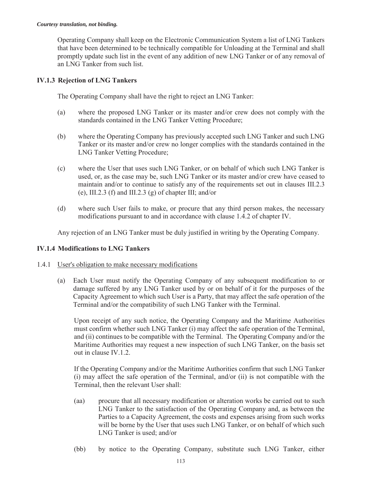Operating Company shall keep on the Electronic Communication System a list of LNG Tankers that have been determined to be technically compatible for Unloading at the Terminal and shall promptly update such list in the event of any addition of new LNG Tanker or of any removal of an LNG Tanker from such list.

### **IV.1.3 Rejection of LNG Tankers**

The Operating Company shall have the right to reject an LNG Tanker:

- (a) where the proposed LNG Tanker or its master and/or crew does not comply with the standards contained in the LNG Tanker Vetting Procedure;
- (b) where the Operating Company has previously accepted such LNG Tanker and such LNG Tanker or its master and/or crew no longer complies with the standards contained in the LNG Tanker Vetting Procedure;
- (c) where the User that uses such LNG Tanker, or on behalf of which such LNG Tanker is used, or, as the case may be, such LNG Tanker or its master and/or crew have ceased to maintain and/or to continue to satisfy any of the requirements set out in clauses III.2.3 (e), III.2.3 (f) and III.2.3 (g) of chapter III; and/or
- (d) where such User fails to make, or procure that any third person makes, the necessary modifications pursuant to and in accordance with clause 1.4.2 of chapter IV.

Any rejection of an LNG Tanker must be duly justified in writing by the Operating Company.

# **IV.1.4 Modifications to LNG Tankers**

### 1.4.1 User's obligation to make necessary modifications

(a) Each User must notify the Operating Company of any subsequent modification to or damage suffered by any LNG Tanker used by or on behalf of it for the purposes of the Capacity Agreement to which such User is a Party, that may affect the safe operation of the Terminal and/or the compatibility of such LNG Tanker with the Terminal.

Upon receipt of any such notice, the Operating Company and the Maritime Authorities must confirm whether such LNG Tanker (i) may affect the safe operation of the Terminal, and (ii) continues to be compatible with the Terminal. The Operating Company and/or the Maritime Authorities may request a new inspection of such LNG Tanker, on the basis set out in clause IV.1.2.

If the Operating Company and/or the Maritime Authorities confirm that such LNG Tanker (i) may affect the safe operation of the Terminal, and/or (ii) is not compatible with the Terminal, then the relevant User shall:

- (aa) procure that all necessary modification or alteration works be carried out to such LNG Tanker to the satisfaction of the Operating Company and, as between the Parties to a Capacity Agreement, the costs and expenses arising from such works will be borne by the User that uses such LNG Tanker, or on behalf of which such LNG Tanker is used; and/or
- (bb) by notice to the Operating Company, substitute such LNG Tanker, either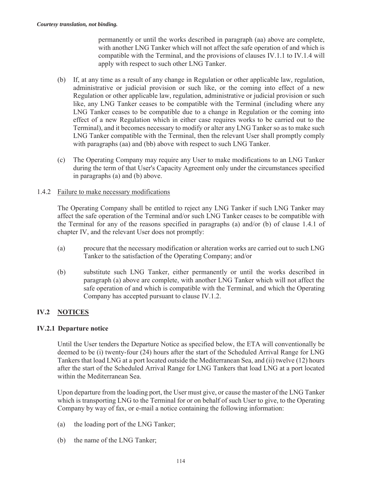permanently or until the works described in paragraph (aa) above are complete, with another LNG Tanker which will not affect the safe operation of and which is compatible with the Terminal, and the provisions of clauses IV.1.1 to IV.1.4 will apply with respect to such other LNG Tanker.

- (b) If, at any time as a result of any change in Regulation or other applicable law, regulation, administrative or judicial provision or such like, or the coming into effect of a new Regulation or other applicable law, regulation, administrative or judicial provision or such like, any LNG Tanker ceases to be compatible with the Terminal (including where any LNG Tanker ceases to be compatible due to a change in Regulation or the coming into effect of a new Regulation which in either case requires works to be carried out to the Terminal), and it becomes necessary to modify or alter any LNG Tanker so as to make such LNG Tanker compatible with the Terminal, then the relevant User shall promptly comply with paragraphs (aa) and (bb) above with respect to such LNG Tanker.
- (c) The Operating Company may require any User to make modifications to an LNG Tanker during the term of that User's Capacity Agreement only under the circumstances specified in paragraphs (a) and (b) above.

### 1.4.2 Failure to make necessary modifications

The Operating Company shall be entitled to reject any LNG Tanker if such LNG Tanker may affect the safe operation of the Terminal and/or such LNG Tanker ceases to be compatible with the Terminal for any of the reasons specified in paragraphs (a) and/or (b) of clause 1.4.1 of chapter IV, and the relevant User does not promptly:

- (a) procure that the necessary modification or alteration works are carried out to such LNG Tanker to the satisfaction of the Operating Company; and/or
- (b) substitute such LNG Tanker, either permanently or until the works described in paragraph (a) above are complete, with another LNG Tanker which will not affect the safe operation of and which is compatible with the Terminal, and which the Operating Company has accepted pursuant to clause IV.1.2.

# **IV.2 NOTICES**

### **IV.2.1 Departure notice**

Until the User tenders the Departure Notice as specified below, the ETA will conventionally be deemed to be (i) twenty-four (24) hours after the start of the Scheduled Arrival Range for LNG Tankers that load LNG at a port located outside the Mediterranean Sea, and (ii) twelve (12) hours after the start of the Scheduled Arrival Range for LNG Tankers that load LNG at a port located within the Mediterranean Sea.

Upon departure from the loading port, the User must give, or cause the master of the LNG Tanker which is transporting LNG to the Terminal for or on behalf of such User to give, to the Operating Company by way of fax, or e-mail a notice containing the following information:

- (a) the loading port of the LNG Tanker;
- (b) the name of the LNG Tanker;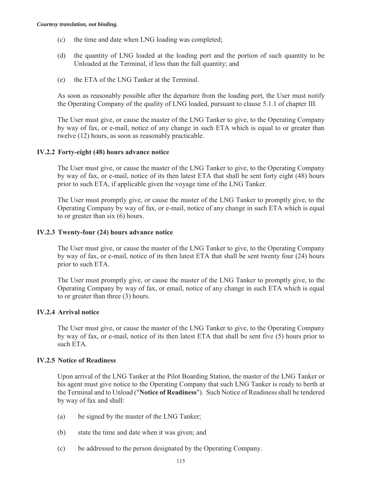- (c) the time and date when LNG loading was completed;
- (d) the quantity of LNG loaded at the loading port and the portion of such quantity to be Unloaded at the Terminal, if less than the full quantity; and
- (e) the ETA of the LNG Tanker at the Terminal.

As soon as reasonably possible after the departure from the loading port, the User must notify the Operating Company of the quality of LNG loaded, pursuant to clause 5.1.1 of chapter III.

The User must give, or cause the master of the LNG Tanker to give, to the Operating Company by way of fax, or e-mail, notice of any change in such ETA which is equal to or greater than twelve (12) hours, as soon as reasonably practicable.

#### **IV.2.2 Forty-eight (48) hours advance notice**

The User must give, or cause the master of the LNG Tanker to give, to the Operating Company by way of fax, or e-mail, notice of its then latest ETA that shall be sent forty eight (48) hours prior to such ETA, if applicable given the voyage time of the LNG Tanker.

The User must promptly give, or cause the master of the LNG Tanker to promptly give, to the Operating Company by way of fax, or e-mail, notice of any change in such ETA which is equal to or greater than six (6) hours.

#### **IV.2.3 Twenty-four (24) hours advance notice**

The User must give, or cause the master of the LNG Tanker to give, to the Operating Company by way of fax, or e-mail, notice of its then latest ETA that shall be sent twenty four (24) hours prior to such ETA.

The User must promptly give, or cause the master of the LNG Tanker to promptly give, to the Operating Company by way of fax, or email, notice of any change in such ETA which is equal to or greater than three (3) hours.

### **IV.2.4 Arrival notice**

The User must give, or cause the master of the LNG Tanker to give, to the Operating Company by way of fax, or e-mail, notice of its then latest ETA that shall be sent five (5) hours prior to such ETA.

#### **IV.2.5 Notice of Readiness**

Upon arrival of the LNG Tanker at the Pilot Boarding Station, the master of the LNG Tanker or his agent must give notice to the Operating Company that such LNG Tanker is ready to berth at the Terminal and to Unload ("**Notice of Readiness**"). Such Notice of Readiness shall be tendered by way of fax and shall:

- (a) be signed by the master of the LNG Tanker;
- (b) state the time and date when it was given; and
- (c) be addressed to the person designated by the Operating Company.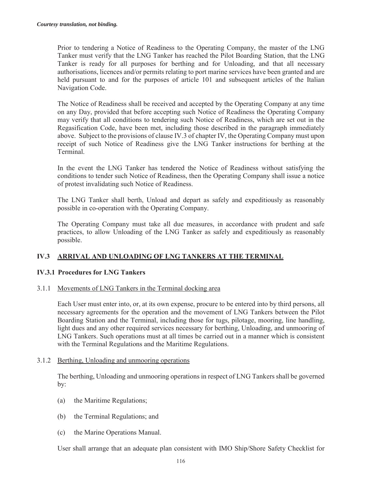Prior to tendering a Notice of Readiness to the Operating Company, the master of the LNG Tanker must verify that the LNG Tanker has reached the Pilot Boarding Station, that the LNG Tanker is ready for all purposes for berthing and for Unloading, and that all necessary authorisations, licences and/or permits relating to port marine services have been granted and are held pursuant to and for the purposes of article 101 and subsequent articles of the Italian Navigation Code.

The Notice of Readiness shall be received and accepted by the Operating Company at any time on any Day, provided that before accepting such Notice of Readiness the Operating Company may verify that all conditions to tendering such Notice of Readiness, which are set out in the Regasification Code, have been met, including those described in the paragraph immediately above. Subject to the provisions of clause IV.3 of chapter IV, the Operating Company must upon receipt of such Notice of Readiness give the LNG Tanker instructions for berthing at the Terminal.

In the event the LNG Tanker has tendered the Notice of Readiness without satisfying the conditions to tender such Notice of Readiness, then the Operating Company shall issue a notice of protest invalidating such Notice of Readiness.

The LNG Tanker shall berth, Unload and depart as safely and expeditiously as reasonably possible in co-operation with the Operating Company.

The Operating Company must take all due measures, in accordance with prudent and safe practices, to allow Unloading of the LNG Tanker as safely and expeditiously as reasonably possible.

# **IV.3 ARRIVAL AND UNLOADING OF LNG TANKERS AT THE TERMINAL**

### **IV.3.1 Procedures for LNG Tankers**

#### 3.1.1 Movements of LNG Tankers in the Terminal docking area

Each User must enter into, or, at its own expense, procure to be entered into by third persons, all necessary agreements for the operation and the movement of LNG Tankers between the Pilot Boarding Station and the Terminal, including those for tugs, pilotage, mooring, line handling, light dues and any other required services necessary for berthing, Unloading, and unmooring of LNG Tankers. Such operations must at all times be carried out in a manner which is consistent with the Terminal Regulations and the Maritime Regulations.

#### 3.1.2 Berthing, Unloading and unmooring operations

The berthing, Unloading and unmooring operations in respect of LNG Tankers shall be governed by:

- (a) the Maritime Regulations;
- (b) the Terminal Regulations; and
- (c) the Marine Operations Manual.

User shall arrange that an adequate plan consistent with IMO Ship/Shore Safety Checklist for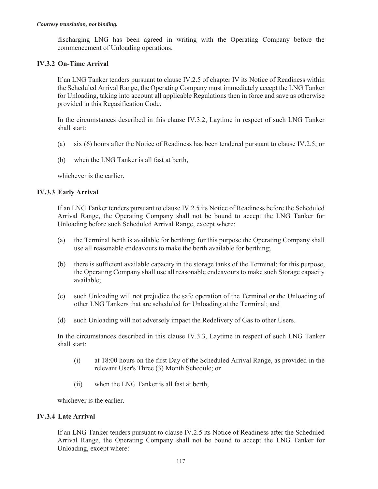discharging LNG has been agreed in writing with the Operating Company before the commencement of Unloading operations.

### **IV.3.2 On-Time Arrival**

If an LNG Tanker tenders pursuant to clause IV.2.5 of chapter IV its Notice of Readiness within the Scheduled Arrival Range, the Operating Company must immediately accept the LNG Tanker for Unloading, taking into account all applicable Regulations then in force and save as otherwise provided in this Regasification Code.

In the circumstances described in this clause IV.3.2, Laytime in respect of such LNG Tanker shall start:

- (a) six (6) hours after the Notice of Readiness has been tendered pursuant to clause IV.2.5; or
- (b) when the LNG Tanker is all fast at berth,

whichever is the earlier.

#### **IV.3.3 Early Arrival**

If an LNG Tanker tenders pursuant to clause IV.2.5 its Notice of Readiness before the Scheduled Arrival Range, the Operating Company shall not be bound to accept the LNG Tanker for Unloading before such Scheduled Arrival Range, except where:

- (a) the Terminal berth is available for berthing; for this purpose the Operating Company shall use all reasonable endeavours to make the berth available for berthing;
- (b) there is sufficient available capacity in the storage tanks of the Terminal; for this purpose, the Operating Company shall use all reasonable endeavours to make such Storage capacity available;
- (c) such Unloading will not prejudice the safe operation of the Terminal or the Unloading of other LNG Tankers that are scheduled for Unloading at the Terminal; and
- (d) such Unloading will not adversely impact the Redelivery of Gas to other Users.

In the circumstances described in this clause IV.3.3, Laytime in respect of such LNG Tanker shall start:

- (i) at 18:00 hours on the first Day of the Scheduled Arrival Range, as provided in the relevant User's Three (3) Month Schedule; or
- (ii) when the LNG Tanker is all fast at berth,

whichever is the earlier.

#### **IV.3.4 Late Arrival**

If an LNG Tanker tenders pursuant to clause IV.2.5 its Notice of Readiness after the Scheduled Arrival Range, the Operating Company shall not be bound to accept the LNG Tanker for Unloading, except where: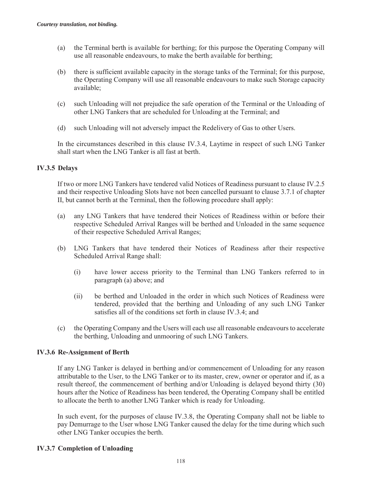- (a) the Terminal berth is available for berthing; for this purpose the Operating Company will use all reasonable endeavours, to make the berth available for berthing;
- (b) there is sufficient available capacity in the storage tanks of the Terminal; for this purpose, the Operating Company will use all reasonable endeavours to make such Storage capacity available;
- (c) such Unloading will not prejudice the safe operation of the Terminal or the Unloading of other LNG Tankers that are scheduled for Unloading at the Terminal; and
- (d) such Unloading will not adversely impact the Redelivery of Gas to other Users.

In the circumstances described in this clause IV.3.4, Laytime in respect of such LNG Tanker shall start when the LNG Tanker is all fast at berth.

### **IV.3.5 Delays**

If two or more LNG Tankers have tendered valid Notices of Readiness pursuant to clause IV.2.5 and their respective Unloading Slots have not been cancelled pursuant to clause 3.7.1 of chapter II, but cannot berth at the Terminal, then the following procedure shall apply:

- (a) any LNG Tankers that have tendered their Notices of Readiness within or before their respective Scheduled Arrival Ranges will be berthed and Unloaded in the same sequence of their respective Scheduled Arrival Ranges;
- (b) LNG Tankers that have tendered their Notices of Readiness after their respective Scheduled Arrival Range shall:
	- (i) have lower access priority to the Terminal than LNG Tankers referred to in paragraph (a) above; and
	- (ii) be berthed and Unloaded in the order in which such Notices of Readiness were tendered, provided that the berthing and Unloading of any such LNG Tanker satisfies all of the conditions set forth in clause IV.3.4; and
- (c) the Operating Company and the Users will each use all reasonable endeavours to accelerate the berthing, Unloading and unmooring of such LNG Tankers.

#### **IV.3.6 Re-Assignment of Berth**

If any LNG Tanker is delayed in berthing and/or commencement of Unloading for any reason attributable to the User, to the LNG Tanker or to its master, crew, owner or operator and if, as a result thereof, the commencement of berthing and/or Unloading is delayed beyond thirty (30) hours after the Notice of Readiness has been tendered, the Operating Company shall be entitled to allocate the berth to another LNG Tanker which is ready for Unloading.

In such event, for the purposes of clause IV.3.8, the Operating Company shall not be liable to pay Demurrage to the User whose LNG Tanker caused the delay for the time during which such other LNG Tanker occupies the berth.

### **IV.3.7 Completion of Unloading**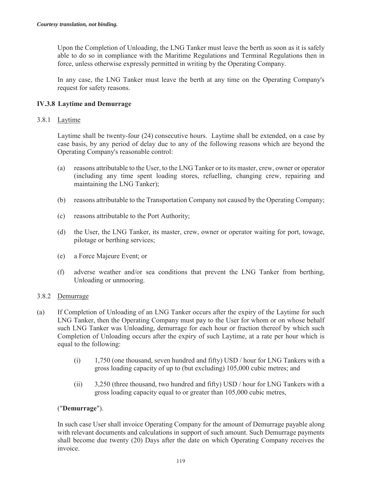Upon the Completion of Unloading, the LNG Tanker must leave the berth as soon as it is safely able to do so in compliance with the Maritime Regulations and Terminal Regulations then in force, unless otherwise expressly permitted in writing by the Operating Company.

In any case, the LNG Tanker must leave the berth at any time on the Operating Company's request for safety reasons.

# **IV.3.8 Laytime and Demurrage**

### 3.8.1 Laytime

Laytime shall be twenty-four (24) consecutive hours. Laytime shall be extended, on a case by case basis, by any period of delay due to any of the following reasons which are beyond the Operating Company's reasonable control:

- (a) reasons attributable to the User, to the LNG Tanker or to its master, crew, owner or operator (including any time spent loading stores, refuelling, changing crew, repairing and maintaining the LNG Tanker);
- (b) reasons attributable to the Transportation Company not caused by the Operating Company;
- (c) reasons attributable to the Port Authority;
- (d) the User, the LNG Tanker, its master, crew, owner or operator waiting for port, towage, pilotage or berthing services;
- (e) a Force Majeure Event; or
- (f) adverse weather and/or sea conditions that prevent the LNG Tanker from berthing, Unloading or unmooring.

### 3.8.2 Demurrage

- (a) If Completion of Unloading of an LNG Tanker occurs after the expiry of the Laytime for such LNG Tanker, then the Operating Company must pay to the User for whom or on whose behalf such LNG Tanker was Unloading, demurrage for each hour or fraction thereof by which such Completion of Unloading occurs after the expiry of such Laytime, at a rate per hour which is equal to the following:
	- (i) 1,750 (one thousand, seven hundred and fifty) USD / hour for LNG Tankers with a gross loading capacity of up to (but excluding) 105,000 cubic metres; and
	- (ii) 3,250 (three thousand, two hundred and fifty) USD / hour for LNG Tankers with a gross loading capacity equal to or greater than 105,000 cubic metres,

### ("**Demurrage**").

In such case User shall invoice Operating Company for the amount of Demurrage payable along with relevant documents and calculations in support of such amount. Such Demurrage payments shall become due twenty (20) Days after the date on which Operating Company receives the invoice.